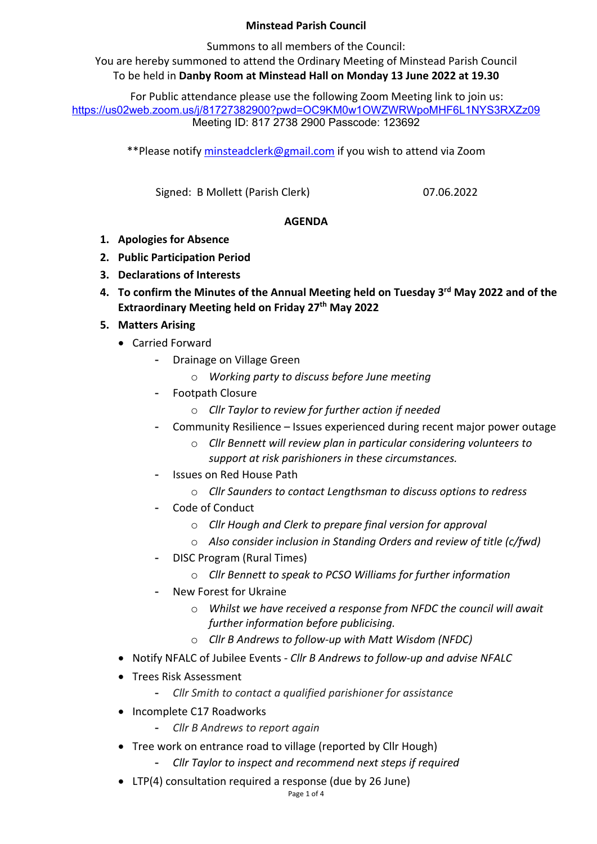# **Minstead Parish Council**

Summons to all members of the Council: You are hereby summoned to attend the Ordinary Meeting of Minstead Parish Council To be held in **Danby Room at Minstead Hall on Monday 13 June 2022 at 19.30**

For Public attendance please use the following Zoom Meeting link to join us: https://us02web.zoom.us/j/81727382900?pwd=OC9KM0w1OWZWRWpoMHF6L1NYS3RXZz09 Meeting ID: 817 2738 2900 Passcode: 123692

\*\*Please notify minsteadclerk@gmail.com if you wish to attend via Zoom

Signed: B Mollett (Parish Clerk) 07.06.2022

### **AGENDA**

- **1. Apologies for Absence**
- **2. Public Participation Period**
- **3. Declarations of Interests**
- **4. To confirm the Minutes of the Annual Meeting held on Tuesday 3rd May 2022 and of the Extraordinary Meeting held on Friday 27th May 2022**

### **5. Matters Arising**

- Carried Forward
	- Drainage on Village Green
		- o *Working party to discuss before June meeting*
	- Footpath Closure
		- o *Cllr Taylor to review for further action if needed*
	- Community Resilience Issues experienced during recent major power outage
		- o *Cllr Bennett will review plan in particular considering volunteers to support at risk parishioners in these circumstances.*
	- Issues on Red House Path
		- o *Cllr Saunders to contact Lengthsman to discuss options to redress*
	- Code of Conduct
		- o *Cllr Hough and Clerk to prepare final version for approval*
		- o *Also consider inclusion in Standing Orders and review of title (c/fwd)*
	- DISC Program (Rural Times)
		- o *Cllr Bennett to speak to PCSO Williams for further information*
	- New Forest for Ukraine
		- o *Whilst we have received a response from NFDC the council will await further information before publicising.*
		- o *Cllr B Andrews to follow-up with Matt Wisdom (NFDC)*
- Notify NFALC of Jubilee Events *Cllr B Andrews to follow-up and advise NFALC*
- Trees Risk Assessment
	- *Cllr Smith to contact a qualified parishioner for assistance*
- Incomplete C17 Roadworks
	- *Cllr B Andrews to report again*
- Tree work on entrance road to village (reported by Cllr Hough)
	- *Cllr Taylor to inspect and recommend next steps if required*
- LTP(4) consultation required a response (due by 26 June)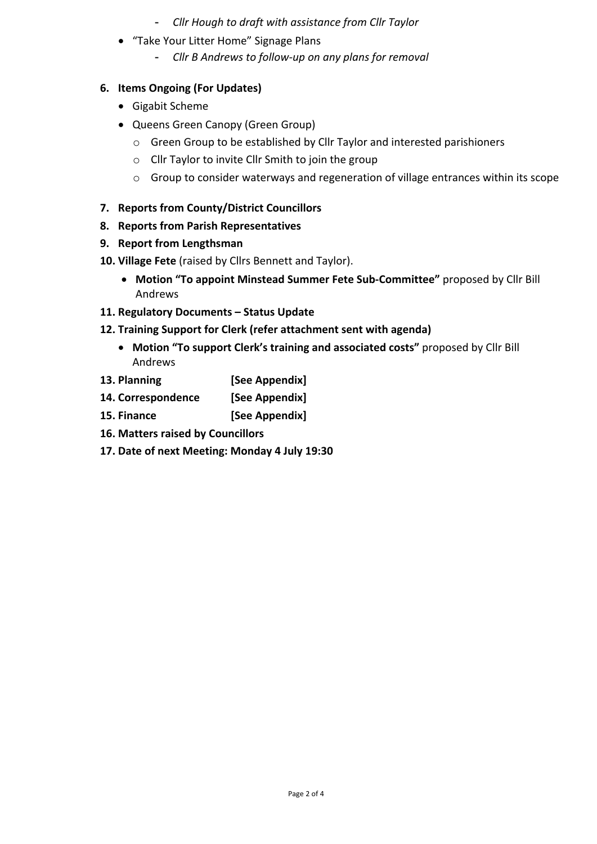- *Cllr Hough to draft with assistance from Cllr Taylor*
- "Take Your Litter Home" Signage Plans
	- *Cllr B Andrews to follow-up on any plans for removal*

# **6. Items Ongoing (For Updates)**

- Gigabit Scheme
- Queens Green Canopy (Green Group)
	- o Green Group to be established by Cllr Taylor and interested parishioners
	- o Cllr Taylor to invite Cllr Smith to join the group
	- o Group to consider waterways and regeneration of village entrances within its scope
- **7. Reports from County/District Councillors**
- **8. Reports from Parish Representatives**
- **9. Report from Lengthsman**
- **10. Village Fete** (raised by Cllrs Bennett and Taylor).
	- **Motion "To appoint Minstead Summer Fete Sub-Committee"** proposed by Cllr Bill Andrews
- **11. Regulatory Documents – Status Update**
- **12. Training Support for Clerk (refer attachment sent with agenda)**
	- **Motion "To support Clerk's training and associated costs"** proposed by Cllr Bill Andrews
- **13. Planning [See Appendix]**
- **14. Correspondence [See Appendix]**
- **15. Finance [See Appendix]**
- **16. Matters raised by Councillors**
- **17. Date of next Meeting: Monday 4 July 19:30**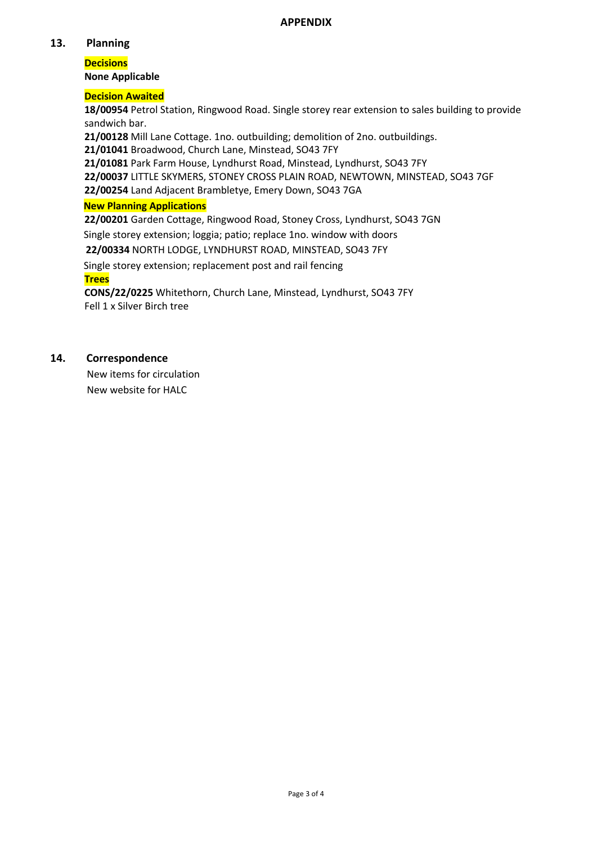### **APPENDIX**

# **13. Planning**

# **Decisions**

**None Applicable**

#### **Decision Awaited**

**18/00954** Petrol Station, Ringwood Road. Single storey rear extension to sales building to provide sandwich bar.

**21/00128** Mill Lane Cottage. 1no. outbuilding; demolition of 2no. outbuildings.

**21/01041** Broadwood, Church Lane, Minstead, SO43 7FY

**21/01081** Park Farm House, Lyndhurst Road, Minstead, Lyndhurst, SO43 7FY

**22/00037** LITTLE SKYMERS, STONEY CROSS PLAIN ROAD, NEWTOWN, MINSTEAD, SO43 7GF

**22/00254** Land Adjacent Brambletye, Emery Down, SO43 7GA

### **New Planning Applications**

**22/00201** Garden Cottage, Ringwood Road, Stoney Cross, Lyndhurst, SO43 7GN

Single storey extension; loggia; patio; replace 1no. window with doors

**22/00334** NORTH LODGE, LYNDHURST ROAD, MINSTEAD, SO43 7FY

Single storey extension; replacement post and rail fencing

#### **Trees**

**CONS/22/0225** Whitethorn, Church Lane, Minstead, Lyndhurst, SO43 7FY Fell 1 x Silver Birch tree

# **14. Correspondence**

New items for circulation New website for HALC